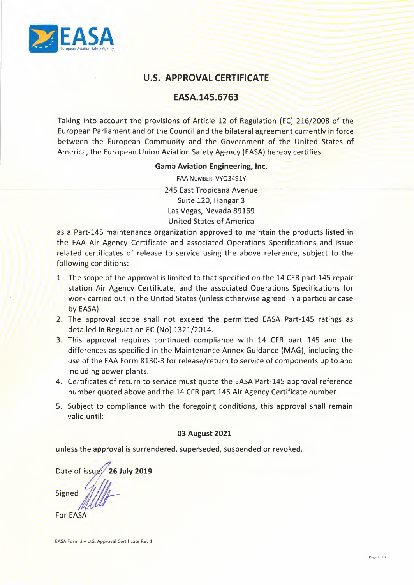

# **U.S. APPROVAL CERTIFICATE**

## **EASA.145.6763**

Taking into account the provisions of Article 12 of Regulation (EC) 216/2008 of the European Parliament and of the Council and the bilateral agreement currently in force between the European Community and the Government of the United States of America, the European Union Aviation Safety Agency (EASA) hereby certifies:

## **Gama Aviation Engineering, Inc.**

FAA NUMBER: VYQ3491Y 245 East Tropicana Avenue Suite 120, Hangar 3 Las Vegas, Nevada 89169 United States of America

as a Part-145 maintenance organization approved to maintain the products listed in the FAA Air Agency Certificate and associated Operations Specifications and issue related certificates of release to service using the above reference, subject to the following conditions:

- 1. The scope of the approval is limited to that specified on the 14 CFR part 145 repair station Air Agency Certificate, and the associated Operations Specifications for work carried out in the United States (unless otherwise agreed in a particular case by EASA).
- 2. The approval scope shall not exceed the permitted EASA Part-145 ratings as detailed in Regulation EC (No) 1321/2014.
- *<sup>I</sup>I I* 3. // This approval requires continued compliance with 14 CFR part 145 and the differences as specified in the Maintenance Annex Guidance (MAG), including the use of the FAA Form 8130-3 for release/return to service of components up to and including power plants.
	- 4. Certificates of return to service must quote the EASA Part-145 approval reference number quoted above and the 14 CFR part 145 Air Agency Certificate number.
	- 5. Subject to compliance with the foregoing conditions, this approval shall remain valid until:

## 03 August **2021**

unless the approval is surrendered, superseded, suspended or revoked.

Date of issu · **26 July <sup>2019</sup> Signed** /////

**For EASA**